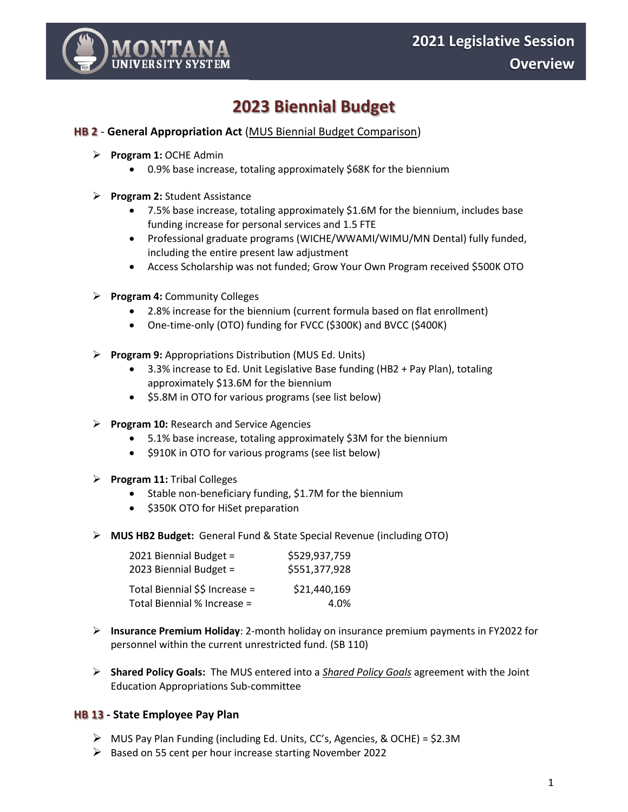<span id="page-0-0"></span>

# **2023 Biennial Budget**

#### **HB 2** - **General Appropriation Act** ([MUS Biennial Budget Comparison\)](#page-8-0)

- ➢ **Program 1:** OCHE Admin
	- 0.9% base increase, totaling approximately \$68K for the biennium
- ➢ **Program 2:** Student Assistance
	- 7.5% base increase, totaling approximately \$1.6M for the biennium, includes base funding increase for personal services and 1.5 FTE
	- Professional graduate programs (WICHE/WWAMI/WIMU/MN Dental) fully funded, including the entire present law adjustment
	- Access Scholarship was not funded; Grow Your Own Program received \$500K OTO
- ➢ **Program 4:** Community Colleges
	- 2.8% increase for the biennium (current formula based on flat enrollment)
	- One-time-only (OTO) funding for FVCC (\$300K) and BVCC (\$400K)
- ➢ **Program 9:** Appropriations Distribution (MUS Ed. Units)
	- 3.3% increase to Ed. Unit Legislative Base funding (HB2 + Pay Plan), totaling approximately \$13.6M for the biennium
	- \$5.8M in OTO for various programs (see list below)
- ➢ **Program 10:** Research and Service Agencies
	- 5.1% base increase, totaling approximately \$3M for the biennium
	- \$910K in OTO for various programs (see list below)
- ➢ **Program 11:** Tribal Colleges
	- Stable non-beneficiary funding, \$1.7M for the biennium
	- \$350K OTO for HiSet preparation
- ➢ **MUS HB2 Budget:** General Fund & State Special Revenue (including OTO)

| 2021 Biennial Budget =         | \$529,937,759 |
|--------------------------------|---------------|
| 2023 Biennial Budget =         | \$551,377,928 |
| Total Biennial \$\$ Increase = | \$21,440,169  |
| Total Biennial % Increase =    | 4.0%          |

- ➢ **Insurance Premium Holiday**: 2-month holiday on insurance premium payments in FY2022 for personnel within the current unrestricted fund. (SB 110)
- ➢ **Shared Policy Goals:** The MUS entered into a *[Shared Policy Goals](#page-9-0)* agreement with the Joint Education Appropriations Sub-committee

#### **HB 13 - State Employee Pay Plan**

- ➢ MUS Pay Plan Funding (including Ed. Units, CC's, Agencies, & OCHE) = \$2.3M
- ➢ Based on 55 cent per hour increase starting November 2022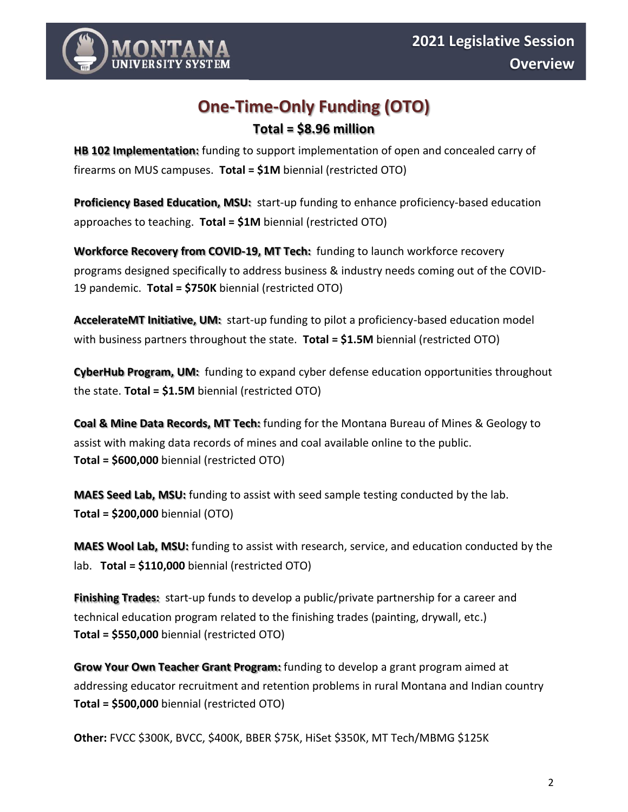

# **One-Time-Only Funding (OTO)**

# **Total = \$8.96 million**

**HB 102 Implementation:** funding to support implementation of open and concealed carry of firearms on MUS campuses. **Total = \$1M** biennial (restricted OTO)

**Proficiency Based Education, MSU:** start-up funding to enhance proficiency-based education approaches to teaching. **Total = \$1M** biennial (restricted OTO)

**Workforce Recovery from COVID-19, MT Tech:** funding to launch workforce recovery programs designed specifically to address business & industry needs coming out of the COVID-19 pandemic. **Total = \$750K** biennial (restricted OTO)

**AccelerateMT Initiative, UM:** start-up funding to pilot a proficiency-based education model with business partners throughout the state. **Total = \$1.5M** biennial (restricted OTO)

**CyberHub Program, UM:** funding to expand cyber defense education opportunities throughout the state. **Total = \$1.5M** biennial (restricted OTO)

**Coal & Mine Data Records, MT Tech:** funding for the Montana Bureau of Mines & Geology to assist with making data records of mines and coal available online to the public. **Total = \$600,000** biennial (restricted OTO)

**MAES Seed Lab, MSU:** funding to assist with seed sample testing conducted by the lab. **Total = \$200,000** biennial (OTO)

**MAES Wool Lab, MSU:** funding to assist with research, service, and education conducted by the lab. **Total = \$110,000** biennial (restricted OTO)

**Finishing Trades:** start-up funds to develop a public/private partnership for a career and technical education program related to the finishing trades (painting, drywall, etc.) **Total = \$550,000** biennial (restricted OTO)

**Grow Your Own Teacher Grant Program:** funding to develop a grant program aimed at addressing educator recruitment and retention problems in rural Montana and Indian country **Total = \$500,000** biennial (restricted OTO)

**Other:** FVCC \$300K, BVCC, \$400K, BBER \$75K, HiSet \$350K, MT Tech/MBMG \$125K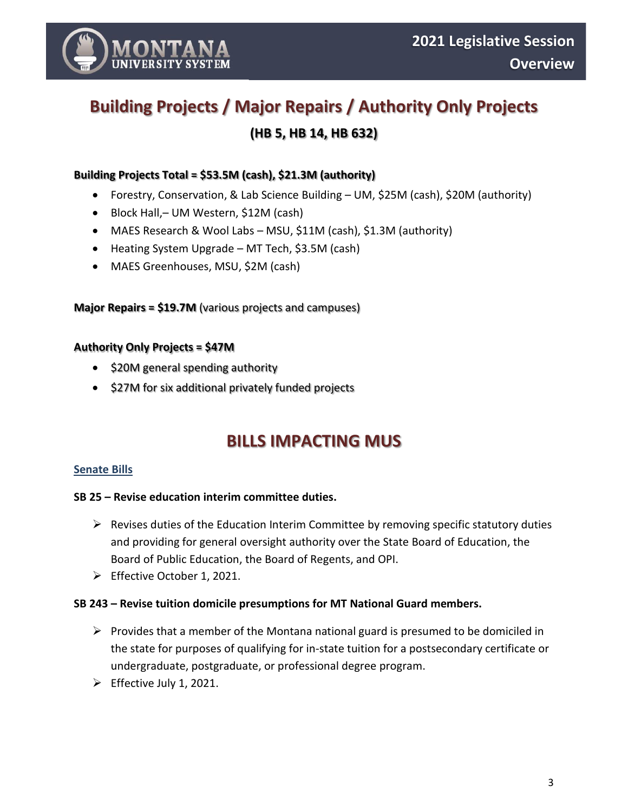

# **Building Projects / Major Repairs / Authority Only Projects (HB 5, HB 14, HB 632)**

# **Building Projects Total = \$53.5M (cash), \$21.3M (authority)**

- Forestry, Conservation, & Lab Science Building UM, \$25M (cash), \$20M (authority)
- Block Hall,– UM Western, \$12M (cash)
- MAES Research & Wool Labs MSU, \$11M (cash), \$1.3M (authority)
- Heating System Upgrade MT Tech, \$3.5M (cash)
- MAES Greenhouses, MSU, \$2M (cash)

# **Major Repairs = \$19.7M** (various projects and campuses)

## **Authority Only Projects = \$47M**

- \$20M general spending authority
- \$27M for six additional privately funded projects

# **BILLS IMPACTING MUS**

## **Senate Bills**

## **SB 25 – Revise education interim committee duties.**

- ➢ Revises duties of the Education Interim Committee by removing specific statutory duties and providing for general oversight authority over the State Board of Education, the Board of Public Education, the Board of Regents, and OPI.
- ➢ Effective October 1, 2021.

## **SB 243 – Revise tuition domicile presumptions for MT National Guard members.**

- $\triangleright$  Provides that a member of the Montana national guard is presumed to be domiciled in the state for purposes of qualifying for in-state tuition for a postsecondary certificate or undergraduate, postgraduate, or professional degree program.
- $\triangleright$  Effective July 1, 2021.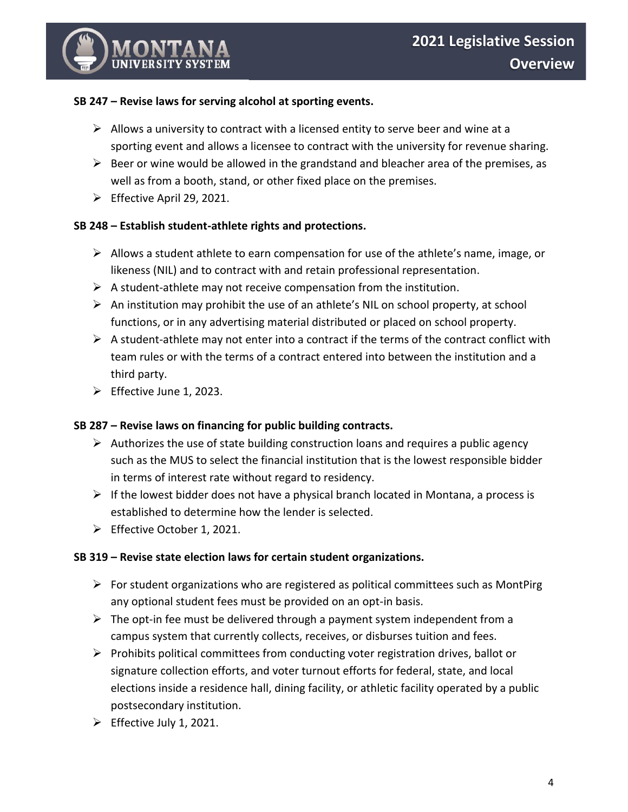# **SB 247 – Revise laws for serving alcohol at sporting events.**

- $\triangleright$  Allows a university to contract with a licensed entity to serve beer and wine at a sporting event and allows a licensee to contract with the university for revenue sharing.
- $\triangleright$  Beer or wine would be allowed in the grandstand and bleacher area of the premises, as well as from a booth, stand, or other fixed place on the premises.
- ➢ Effective April 29, 2021.

# **SB 248 – Establish student-athlete rights and protections.**

- ➢ Allows a student athlete to earn compensation for use of the athlete's name, image, or likeness (NIL) and to contract with and retain professional representation.
- $\triangleright$  A student-athlete may not receive compensation from the institution.
- $\triangleright$  An institution may prohibit the use of an athlete's NIL on school property, at school functions, or in any advertising material distributed or placed on school property.
- $\triangleright$  A student-athlete may not enter into a contract if the terms of the contract conflict with team rules or with the terms of a contract entered into between the institution and a third party.
- ➢ Effective June 1, 2023.

## **SB 287 – Revise laws on financing for public building contracts.**

- $\triangleright$  Authorizes the use of state building construction loans and requires a public agency such as the MUS to select the financial institution that is the lowest responsible bidder in terms of interest rate without regard to residency.
- $\triangleright$  If the lowest bidder does not have a physical branch located in Montana, a process is established to determine how the lender is selected.
- ➢ Effective October 1, 2021.

## **SB 319 – Revise state election laws for certain student organizations.**

- $\triangleright$  For student organizations who are registered as political committees such as MontPirg any optional student fees must be provided on an opt-in basis.
- $\triangleright$  The opt-in fee must be delivered through a payment system independent from a campus system that currently collects, receives, or disburses tuition and fees.
- ➢ Prohibits political committees from conducting voter registration drives, ballot or signature collection efforts, and voter turnout efforts for federal, state, and local elections inside a residence hall, dining facility, or athletic facility operated by a public postsecondary institution.
- $\triangleright$  Effective July 1, 2021.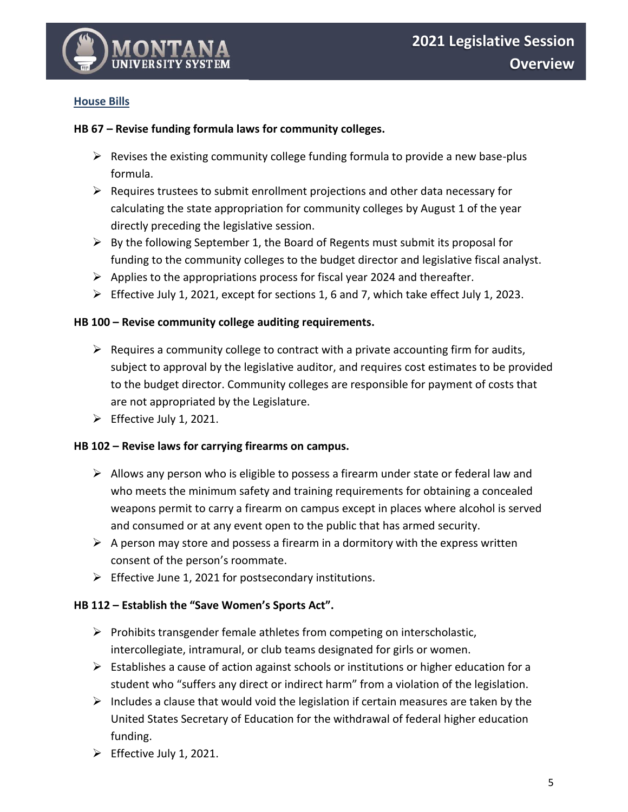

# **House Bills**

# **HB 67 – Revise funding formula laws for community colleges.**

- $\triangleright$  Revises the existing community college funding formula to provide a new base-plus formula.
- $\triangleright$  Requires trustees to submit enrollment projections and other data necessary for calculating the state appropriation for community colleges by August 1 of the year directly preceding the legislative session.
- $\triangleright$  By the following September 1, the Board of Regents must submit its proposal for funding to the community colleges to the budget director and legislative fiscal analyst.
- $\triangleright$  Applies to the appropriations process for fiscal year 2024 and thereafter.
- ➢ Effective July 1, 2021, except for sections 1, 6 and 7, which take effect July 1, 2023.

## **HB 100 – Revise community college auditing requirements.**

- $\triangleright$  Requires a community college to contract with a private accounting firm for audits, subject to approval by the legislative auditor, and requires cost estimates to be provided to the budget director. Community colleges are responsible for payment of costs that are not appropriated by the Legislature.
- $\triangleright$  Effective July 1, 2021.

## **HB 102 – Revise laws for carrying firearms on campus.**

- $\triangleright$  Allows any person who is eligible to possess a firearm under state or federal law and who meets the minimum safety and training requirements for obtaining a concealed weapons permit to carry a firearm on campus except in places where alcohol is served and consumed or at any event open to the public that has armed security.
- $\triangleright$  A person may store and possess a firearm in a dormitory with the express written consent of the person's roommate.
- ➢ Effective June 1, 2021 for postsecondary institutions.

## **HB 112 – Establish the "Save Women's Sports Act".**

- ➢ Prohibits transgender female athletes from competing on interscholastic, intercollegiate, intramural, or club teams designated for girls or women.
- $\triangleright$  Establishes a cause of action against schools or institutions or higher education for a student who "suffers any direct or indirect harm" from a violation of the legislation.
- $\triangleright$  Includes a clause that would void the legislation if certain measures are taken by the United States Secretary of Education for the withdrawal of federal higher education funding.
- $\triangleright$  Effective July 1, 2021.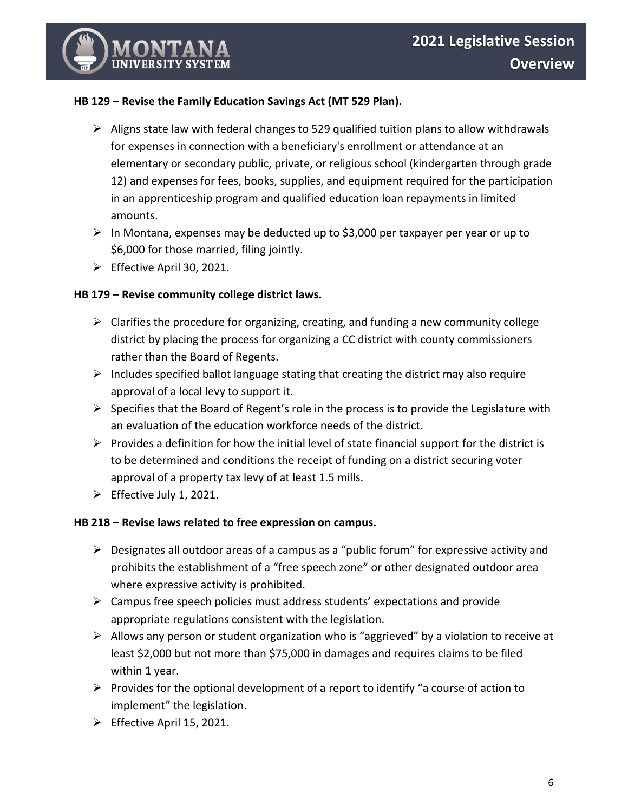# **HB 129 – Revise the Family Education Savings Act (MT 529 Plan).**

- $\triangleright$  Aligns state law with federal changes to 529 qualified tuition plans to allow withdrawals for expenses in connection with a beneficiary's enrollment or attendance at an elementary or secondary public, private, or religious school (kindergarten through grade 12) and expenses for fees, books, supplies, and equipment required for the participation in an apprenticeship program and qualified education loan repayments in limited amounts.
- $\triangleright$  In Montana, expenses may be deducted up to \$3,000 per taxpayer per year or up to \$6,000 for those married, filing jointly.
- ➢ Effective April 30, 2021.

# **HB 179 – Revise community college district laws.**

- $\triangleright$  Clarifies the procedure for organizing, creating, and funding a new community college district by placing the process for organizing a CC district with county commissioners rather than the Board of Regents.
- $\triangleright$  Includes specified ballot language stating that creating the district may also require approval of a local levy to support it.
- $\triangleright$  Specifies that the Board of Regent's role in the process is to provide the Legislature with an evaluation of the education workforce needs of the district.
- $\triangleright$  Provides a definition for how the initial level of state financial support for the district is to be determined and conditions the receipt of funding on a district securing voter approval of a property tax levy of at least 1.5 mills.
- $\triangleright$  Effective July 1, 2021.

# **HB 218 – Revise laws related to free expression on campus.**

- $\triangleright$  Designates all outdoor areas of a campus as a "public forum" for expressive activity and prohibits the establishment of a "free speech zone" or other designated outdoor area where expressive activity is prohibited.
- $\triangleright$  Campus free speech policies must address students' expectations and provide appropriate regulations consistent with the legislation.
- ➢ Allows any person or student organization who is "aggrieved" by a violation to receive at least \$2,000 but not more than \$75,000 in damages and requires claims to be filed within 1 year.
- $\triangleright$  Provides for the optional development of a report to identify "a course of action to implement" the legislation.
- ➢ Effective April 15, 2021.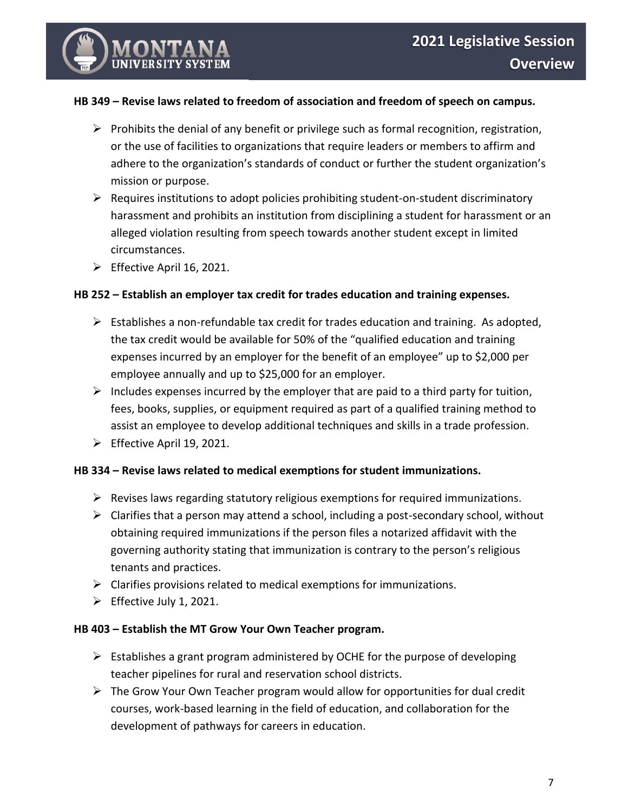# **HB 349 – Revise laws related to freedom of association and freedom of speech on campus.**

- $\triangleright$  Prohibits the denial of any benefit or privilege such as formal recognition, registration, or the use of facilities to organizations that require leaders or members to affirm and adhere to the organization's standards of conduct or further the student organization's mission or purpose.
- $\triangleright$  Requires institutions to adopt policies prohibiting student-on-student discriminatory harassment and prohibits an institution from disciplining a student for harassment or an alleged violation resulting from speech towards another student except in limited circumstances.
- $\triangleright$  Effective April 16, 2021.

## **HB 252 – Establish an employer tax credit for trades education and training expenses.**

- $\triangleright$  Establishes a non-refundable tax credit for trades education and training. As adopted, the tax credit would be available for 50% of the "qualified education and training expenses incurred by an employer for the benefit of an employee" up to \$2,000 per employee annually and up to \$25,000 for an employer.
- $\triangleright$  Includes expenses incurred by the employer that are paid to a third party for tuition, fees, books, supplies, or equipment required as part of a qualified training method to assist an employee to develop additional techniques and skills in a trade profession.
- $\triangleright$  Effective April 19, 2021.

## **HB 334 – Revise laws related to medical exemptions for student immunizations.**

- $\triangleright$  Revises laws regarding statutory religious exemptions for required immunizations.
- $\triangleright$  Clarifies that a person may attend a school, including a post-secondary school, without obtaining required immunizations if the person files a notarized affidavit with the governing authority stating that immunization is contrary to the person's religious tenants and practices.
- $\triangleright$  Clarifies provisions related to medical exemptions for immunizations.
- $\triangleright$  Effective July 1, 2021.

## **HB 403 – Establish the MT Grow Your Own Teacher program.**

- $\triangleright$  Establishes a grant program administered by OCHE for the purpose of developing teacher pipelines for rural and reservation school districts.
- $\triangleright$  The Grow Your Own Teacher program would allow for opportunities for dual credit courses, work-based learning in the field of education, and collaboration for the development of pathways for careers in education.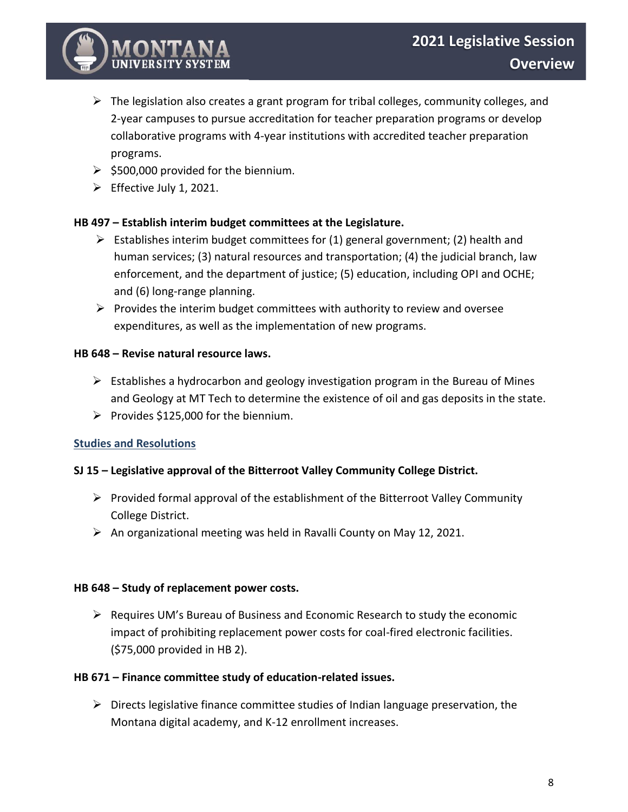

- ➢ The legislation also creates a grant program for tribal colleges, community colleges, and 2-year campuses to pursue accreditation for teacher preparation programs or develop collaborative programs with 4-year institutions with accredited teacher preparation programs.
- $\geq$  \$500,000 provided for the biennium.
- ➢ Effective July 1, 2021.

# **HB 497 – Establish interim budget committees at the Legislature.**

- $\triangleright$  Establishes interim budget committees for (1) general government; (2) health and human services; (3) natural resources and transportation; (4) the judicial branch, law enforcement, and the department of justice; (5) education, including OPI and OCHE; and (6) long-range planning.
- $\triangleright$  Provides the interim budget committees with authority to review and oversee expenditures, as well as the implementation of new programs.

# **HB 648 – Revise natural resource laws.**

- $\triangleright$  Establishes a hydrocarbon and geology investigation program in the Bureau of Mines and Geology at MT Tech to determine the existence of oil and gas deposits in the state.
- ➢ Provides \$125,000 for the biennium.

# **Studies and Resolutions**

# **SJ 15 – Legislative approval of the Bitterroot Valley Community College District.**

- $\triangleright$  Provided formal approval of the establishment of the Bitterroot Valley Community College District.
- $\triangleright$  An organizational meeting was held in Ravalli County on May 12, 2021.

## **HB 648 – Study of replacement power costs.**

➢ Requires UM's Bureau of Business and Economic Research to study the economic impact of prohibiting replacement power costs for coal-fired electronic facilities. (\$75,000 provided in HB 2).

# **HB 671 – Finance committee study of education-related issues.**

 $\triangleright$  Directs legislative finance committee studies of Indian language preservation, the Montana digital academy, and K-12 enrollment increases.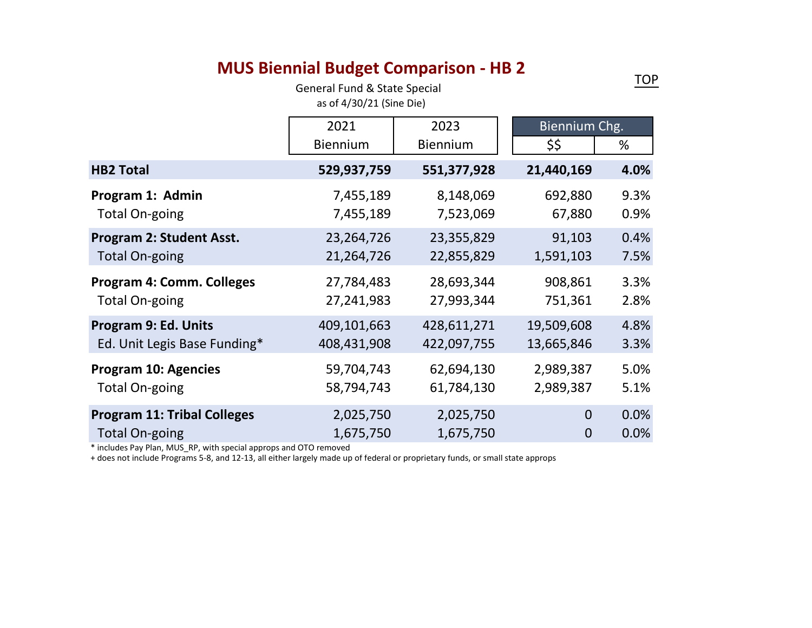# **MUS Biennial Budget Comparison - HB 2**

General Fund & State Special as of 4/30/21 (Sine Die)

<span id="page-8-0"></span>

|                                    | 2021            | 2023            | Biennium Chg.  |      |
|------------------------------------|-----------------|-----------------|----------------|------|
|                                    | <b>Biennium</b> | <b>Biennium</b> | \$\$           | %    |
| <b>HB2 Total</b>                   | 529,937,759     | 551,377,928     | 21,440,169     | 4.0% |
| Program 1: Admin                   | 7,455,189       | 8,148,069       | 692,880        | 9.3% |
| <b>Total On-going</b>              | 7,455,189       | 7,523,069       | 67,880         | 0.9% |
| <b>Program 2: Student Asst.</b>    | 23,264,726      | 23,355,829      | 91,103         | 0.4% |
| <b>Total On-going</b>              | 21,264,726      | 22,855,829      | 1,591,103      | 7.5% |
| <b>Program 4: Comm. Colleges</b>   | 27,784,483      | 28,693,344      | 908,861        | 3.3% |
| <b>Total On-going</b>              | 27,241,983      | 27,993,344      | 751,361        | 2.8% |
| Program 9: Ed. Units               | 409,101,663     | 428,611,271     | 19,509,608     | 4.8% |
| Ed. Unit Legis Base Funding*       | 408,431,908     | 422,097,755     | 13,665,846     | 3.3% |
| <b>Program 10: Agencies</b>        | 59,704,743      | 62,694,130      | 2,989,387      | 5.0% |
| <b>Total On-going</b>              | 58,794,743      | 61,784,130      | 2,989,387      | 5.1% |
| <b>Program 11: Tribal Colleges</b> | 2,025,750       | 2,025,750       | $\overline{0}$ | 0.0% |
| <b>Total On-going</b>              | 1,675,750       | 1,675,750       | $\overline{0}$ | 0.0% |

\* includes Pay Plan, MUS\_RP, with special approps and OTO removed

+ does not include Programs 5-8, and 12-13, all either largely made up of federal or proprietary funds, or small state approps

[TOP](#page-0-0)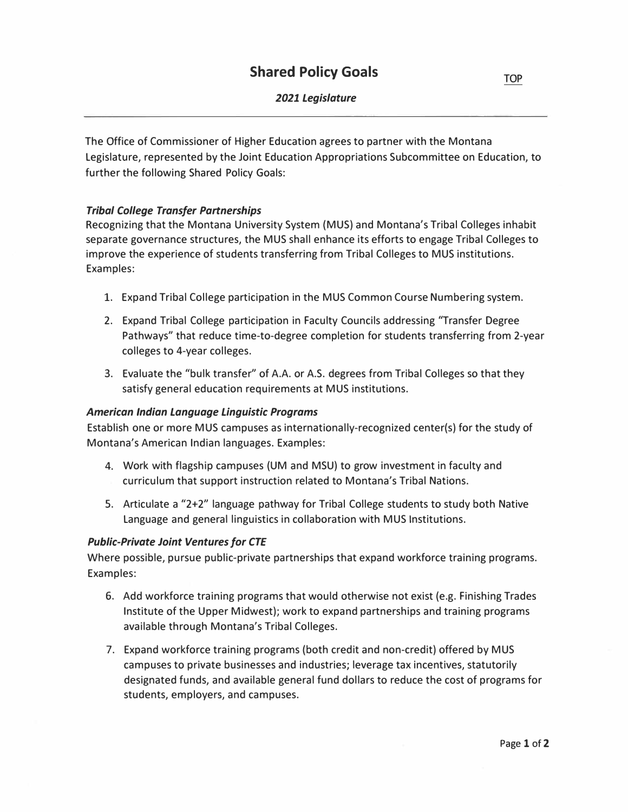# *2021 Legislature*

<span id="page-9-0"></span>The Office of Commissioner of Higher Education agrees to partner with the Montana Legislature, represented by the Joint Education Appropriations Subcommittee on Education, to further the following Shared Policy Goals:

## *Tribal College Transfer Partnerships*

Recognizing that the Montana University System (MUS) and Montana's Tribal Colleges inhabit separate governance structures, the MUS shall enhance its efforts to engage Tribal Colleges to improve the experience of students transferring from Tribal Colleges to MUS institutions. Examples:

- 1. Expand Tribal College participation in the MUS Common Course Numbering system.
- 2. Expand Tribal College participation in Faculty Councils addressing "Transfer Degree Pathways" that reduce time-to-degree completion for students transferring from 2-year colleges to 4-year colleges.
- 3. Evaluate the "bulk transfer" of A.A. or A.S. degrees from Tribal Colleges so that they satisfy general education requirements at MUS institutions.

#### *American Indian Language Linguistic Programs*

Establish one or more MUS campuses as internationally-recognized center(s) for the study of Montana's American Indian languages. Examples:

- 4. Work with flagship campuses (UM and MSU) to grow investment in faculty and curriculum that support instruction related to Montana's Tribal Nations.
- 5. Articulate a "2+2" language pathway for Tribal College students to study both Native Language and general linguistics in collaboration with MUS Institutions.

#### *Public-Private Joint Ventures for CTE*

Where possible, pursue public-private partnerships that expand workforce training programs. Examples:

- 6. Add workforce training programs that would otherwise not exist (e.g. Finishing Trades Institute of the Upper Midwest); work to expand partnerships and training programs available through Montana's Tribal Colleges.
- 7. Expand workforce training programs (both credit and non-credit) offered by MUS campuses to private businesses and industries; leverage tax incentives, statutorily designated funds, and available general fund dollars to reduce the cost of programs for students, employers, and campuses.